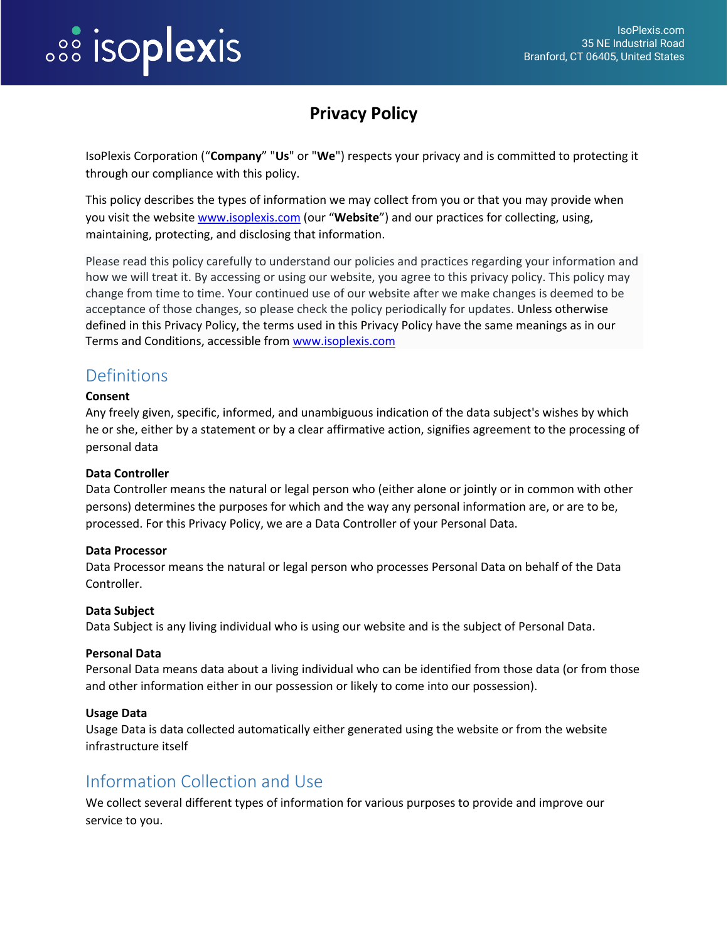## **PROPIEXIS**

## **Privacy Policy**

IsoPlexis Corporation ("**Company**" "**Us**" or "**We**") respects your privacy and is committed to protecting it through our compliance with this policy.

This policy describes the types of information we may collect from you or that you may provide when you visit the website [www.isoplexis.com](http://www.isoplexis.com/) (our "**Website**") and our practices for collecting, using, maintaining, protecting, and disclosing that information.

Please read this policy carefully to understand our policies and practices regarding your information and how we will treat it. By accessing or using our website, you agree to this privacy policy. This policy may change from time to time. Your continued use of our website after we make changes is deemed to be acceptance of those changes, so please check the policy periodically for updates. Unless otherwise defined in this Privacy Policy, the terms used in this Privacy Policy have the same meanings as in our Terms and Conditions, accessible from [www.isoplexis.com](http://www.isoplexis.com/)

### **Definitions**

#### **Consent**

Any freely given, specific, informed, and unambiguous indication of the data subject's wishes by which he or she, either by a statement or by a clear affirmative action, signifies agreement to the processing of personal data

#### **Data Controller**

Data Controller means the natural or legal person who (either alone or jointly or in common with other persons) determines the purposes for which and the way any personal information are, or are to be, processed. For this Privacy Policy, we are a Data Controller of your Personal Data.

#### **Data Processor**

Data Processor means the natural or legal person who processes Personal Data on behalf of the Data Controller.

#### **Data Subject**

Data Subject is any living individual who is using our website and is the subject of Personal Data.

#### **Personal Data**

Personal Data means data about a living individual who can be identified from those data (or from those and other information either in our possession or likely to come into our possession).

#### **Usage Data**

Usage Data is data collected automatically either generated using the website or from the website infrastructure itself

#### Information Collection and Use

We collect several different types of information for various purposes to provide and improve our service to you.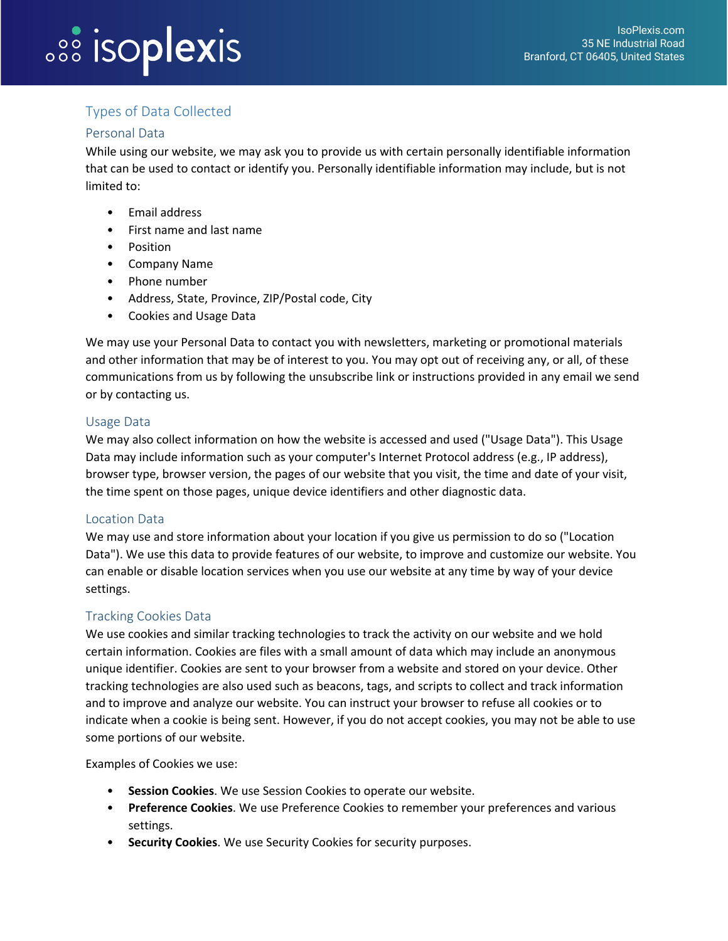# *<b>SSS ISOPIEXIS*

### Types of Data Collected

#### Personal Data

While using our website, we may ask you to provide us with certain personally identifiable information that can be used to contact or identify you. Personally identifiable information may include, but is not limited to:

- Email address
- First name and last name
- Position
- Company Name
- Phone number
- Address, State, Province, ZIP/Postal code, City
- Cookies and Usage Data

We may use your Personal Data to contact you with newsletters, marketing or promotional materials and other information that may be of interest to you. You may opt out of receiving any, or all, of these communications from us by following the unsubscribe link or instructions provided in any email we send or by contacting us.

#### Usage Data

We may also collect information on how the website is accessed and used ("Usage Data"). This Usage Data may include information such as your computer's Internet Protocol address (e.g., IP address), browser type, browser version, the pages of our website that you visit, the time and date of your visit, the time spent on those pages, unique device identifiers and other diagnostic data.

#### Location Data

We may use and store information about your location if you give us permission to do so ("Location Data"). We use this data to provide features of our website, to improve and customize our website. You can enable or disable location services when you use our website at any time by way of your device settings.

#### Tracking Cookies Data

We use cookies and similar tracking technologies to track the activity on our website and we hold certain information. Cookies are files with a small amount of data which may include an anonymous unique identifier. Cookies are sent to your browser from a website and stored on your device. Other tracking technologies are also used such as beacons, tags, and scripts to collect and track information and to improve and analyze our website. You can instruct your browser to refuse all cookies or to indicate when a cookie is being sent. However, if you do not accept cookies, you may not be able to use some portions of our website.

Examples of Cookies we use:

- **Session Cookies**. We use Session Cookies to operate our website.
- **Preference Cookies**. We use Preference Cookies to remember your preferences and various settings.
- **Security Cookies**. We use Security Cookies for security purposes.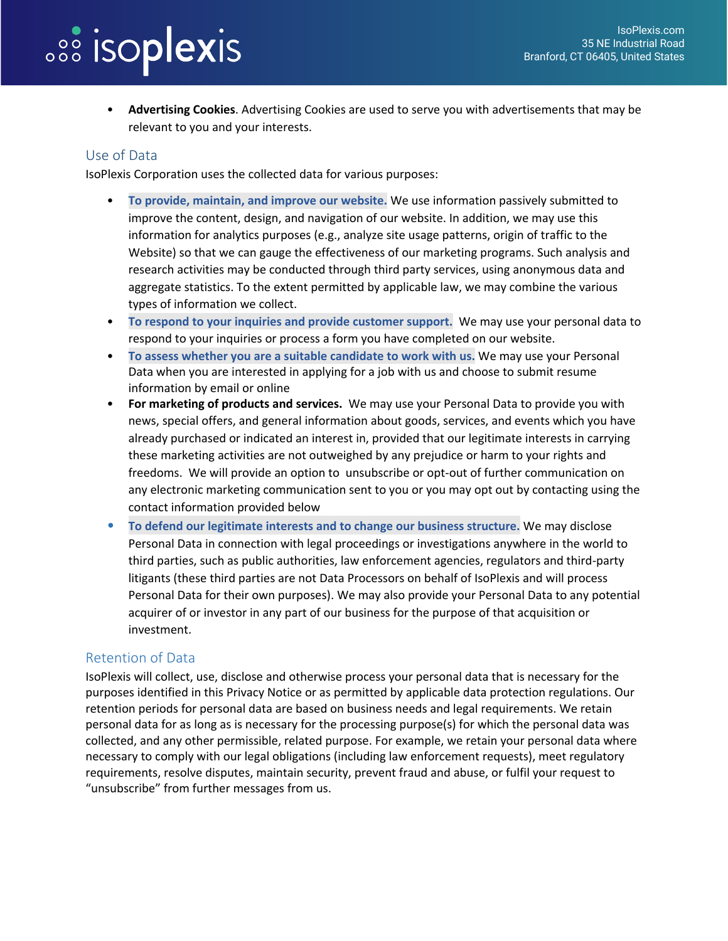# *<b>SSS* isoplexis

• **Advertising Cookies**. Advertising Cookies are used to serve you with advertisements that may be relevant to you and your interests.

#### Use of Data

IsoPlexis Corporation uses the collected data for various purposes:

- **To provide, maintain, and improve our website.** We use information passively submitted to improve the content, design, and navigation of our website. In addition, we may use this information for analytics purposes (e.g., analyze site usage patterns, origin of traffic to the Website) so that we can gauge the effectiveness of our marketing programs. Such analysis and research activities may be conducted through third party services, using anonymous data and aggregate statistics. To the extent permitted by applicable law, we may combine the various types of information we collect.
- **To respond to your inquiries and provide customer support.** We may use your personal data to respond to your inquiries or process a form you have completed on our website.
- **To assess whether you are a suitable candidate to work with us.** We may use your Personal Data when you are interested in applying for a job with us and choose to submit resume information by email or online
- **For marketing of products and services.** We may use your Personal Data to provide you with news, special offers, and general information about goods, services, and events which you have already purchased or indicated an interest in, provided that our legitimate interests in carrying these marketing activities are not outweighed by any prejudice or harm to your rights and freedoms. We will provide an option to unsubscribe or opt-out of further communication on any electronic marketing communication sent to you or you may opt out by contacting using the contact information provided below
- **To defend our legitimate interests and to change our business structure.** We may disclose Personal Data in connection with legal proceedings or investigations anywhere in the world to third parties, such as public authorities, law enforcement agencies, regulators and third-party litigants (these third parties are not Data Processors on behalf of IsoPlexis and will process Personal Data for their own purposes). We may also provide your Personal Data to any potential acquirer of or investor in any part of our business for the purpose of that acquisition or investment.

#### Retention of Data

IsoPlexis will collect, use, disclose and otherwise process your personal data that is necessary for the purposes identified in this Privacy Notice or as permitted by applicable data protection regulations. Our retention periods for personal data are based on business needs and legal requirements. We retain personal data for as long as is necessary for the processing purpose(s) for which the personal data was collected, and any other permissible, related purpose. For example, we retain your personal data where necessary to comply with our legal obligations (including law enforcement requests), meet regulatory requirements, resolve disputes, maintain security, prevent fraud and abuse, or fulfil your request to "unsubscribe" from further messages from us.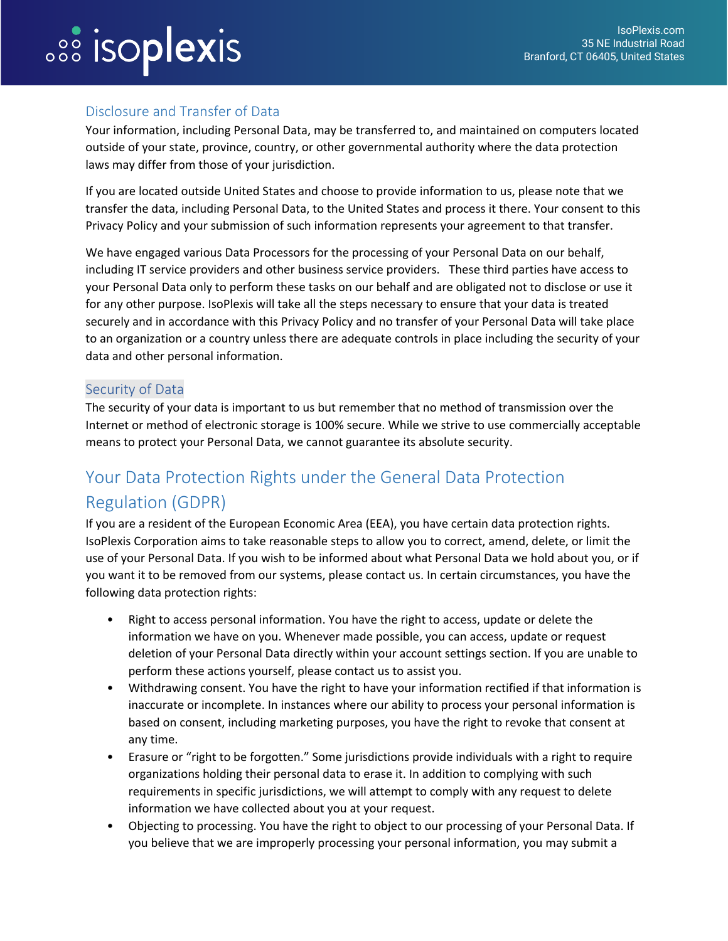## *<b>SSS* isoplexis

#### Disclosure and Transfer of Data

Your information, including Personal Data, may be transferred to, and maintained on computers located outside of your state, province, country, or other governmental authority where the data protection laws may differ from those of your jurisdiction.

If you are located outside United States and choose to provide information to us, please note that we transfer the data, including Personal Data, to the United States and process it there. Your consent to this Privacy Policy and your submission of such information represents your agreement to that transfer.

We have engaged various Data Processors for the processing of your Personal Data on our behalf, including IT service providers and other business service providers. These third parties have access to your Personal Data only to perform these tasks on our behalf and are obligated not to disclose or use it for any other purpose. IsoPlexis will take all the steps necessary to ensure that your data is treated securely and in accordance with this Privacy Policy and no transfer of your Personal Data will take place to an organization or a country unless there are adequate controls in place including the security of your data and other personal information.

#### Security of Data

The security of your data is important to us but remember that no method of transmission over the Internet or method of electronic storage is 100% secure. While we strive to use commercially acceptable means to protect your Personal Data, we cannot guarantee its absolute security.

## Your Data Protection Rights under the General Data Protection Regulation (GDPR)

If you are a resident of the European Economic Area (EEA), you have certain data protection rights. IsoPlexis Corporation aims to take reasonable steps to allow you to correct, amend, delete, or limit the use of your Personal Data. If you wish to be informed about what Personal Data we hold about you, or if you want it to be removed from our systems, please contact us. In certain circumstances, you have the following data protection rights:

- Right to access personal information. You have the right to access, update or delete the information we have on you. Whenever made possible, you can access, update or request deletion of your Personal Data directly within your account settings section. If you are unable to perform these actions yourself, please contact us to assist you.
- Withdrawing consent. You have the right to have your information rectified if that information is inaccurate or incomplete. In instances where our ability to process your personal information is based on consent, including marketing purposes, you have the right to revoke that consent at any time.
- Erasure or "right to be forgotten." Some jurisdictions provide individuals with a right to require organizations holding their personal data to erase it. In addition to complying with such requirements in specific jurisdictions, we will attempt to comply with any request to delete information we have collected about you at your request.
- Objecting to processing. You have the right to object to our processing of your Personal Data. If you believe that we are improperly processing your personal information, you may submit a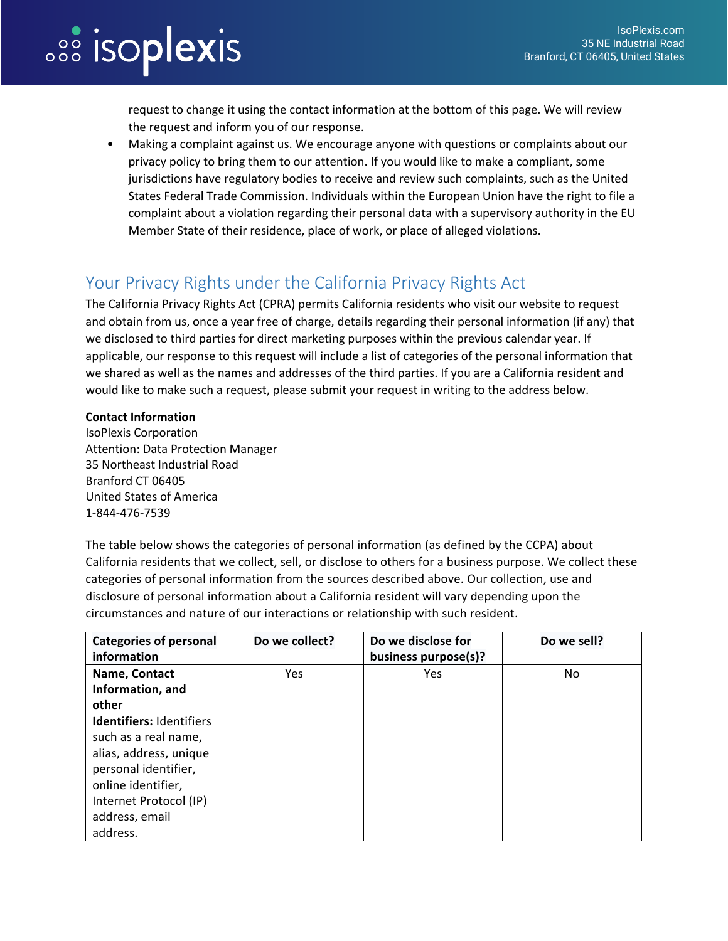# *<b>SSS* isoplexis

request to change it using the contact information at the bottom of this page. We will review the request and inform you of our response.

• Making a complaint against us. We encourage anyone with questions or complaints about our privacy policy to bring them to our attention. If you would like to make a compliant, some jurisdictions have regulatory bodies to receive and review such complaints, such as the United States Federal Trade Commission. Individuals within the European Union have the right to file a complaint about a violation regarding their personal data with a supervisory authority in the EU Member State of their residence, place of work, or place of alleged violations.

## Your Privacy Rights under the California Privacy Rights Act

The California Privacy Rights Act (CPRA) permits California residents who visit our website to request and obtain from us, once a year free of charge, details regarding their personal information (if any) that we disclosed to third parties for direct marketing purposes within the previous calendar year. If applicable, our response to this request will include a list of categories of the personal information that we shared as well as the names and addresses of the third parties. If you are a California resident and would like to make such a request, please submit your request in writing to the address below.

#### **Contact Information**

IsoPlexis Corporation Attention: Data Protection Manager 35 Northeast Industrial Road Branford CT 06405 United States of America 1-844-476-7539

The table below shows the categories of personal information (as defined by the CCPA) about California residents that we collect, sell, or disclose to others for a business purpose. We collect these categories of personal information from the sources described above. Our collection, use and disclosure of personal information about a California resident will vary depending upon the circumstances and nature of our interactions or relationship with such resident.

| <b>Categories of personal</b><br>information                                                                                                                                            | Do we collect? | Do we disclose for<br>business purpose(s)? | Do we sell? |
|-----------------------------------------------------------------------------------------------------------------------------------------------------------------------------------------|----------------|--------------------------------------------|-------------|
| Name, Contact<br>Information, and                                                                                                                                                       | Yes            | Yes                                        | No          |
| other                                                                                                                                                                                   |                |                                            |             |
| <b>Identifiers: Identifiers</b><br>such as a real name,<br>alias, address, unique<br>personal identifier,<br>online identifier,<br>Internet Protocol (IP)<br>address, email<br>address. |                |                                            |             |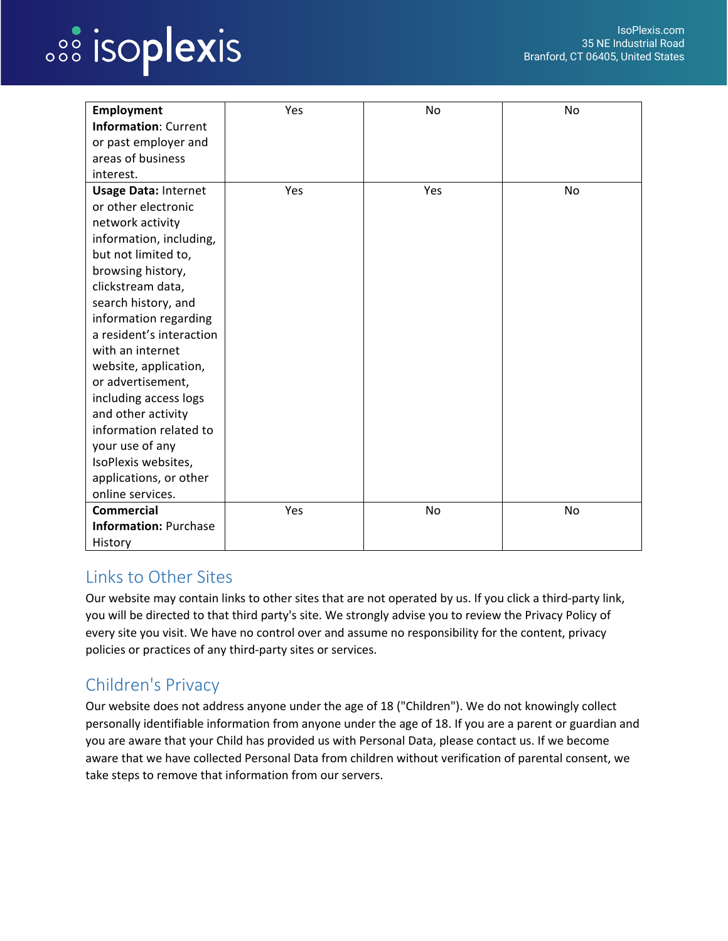## *<u>.<sup>88</sup>* isoplexis</u>

| Employment                   | Yes | No        | No |
|------------------------------|-----|-----------|----|
| <b>Information: Current</b>  |     |           |    |
| or past employer and         |     |           |    |
| areas of business            |     |           |    |
| interest.                    |     |           |    |
| <b>Usage Data: Internet</b>  | Yes | Yes       | No |
| or other electronic          |     |           |    |
| network activity             |     |           |    |
| information, including,      |     |           |    |
| but not limited to,          |     |           |    |
| browsing history,            |     |           |    |
| clickstream data,            |     |           |    |
| search history, and          |     |           |    |
| information regarding        |     |           |    |
| a resident's interaction     |     |           |    |
| with an internet             |     |           |    |
| website, application,        |     |           |    |
| or advertisement,            |     |           |    |
| including access logs        |     |           |    |
| and other activity           |     |           |    |
| information related to       |     |           |    |
| your use of any              |     |           |    |
| IsoPlexis websites,          |     |           |    |
| applications, or other       |     |           |    |
| online services.             |     |           |    |
| <b>Commercial</b>            | Yes | <b>No</b> | No |
| <b>Information: Purchase</b> |     |           |    |
| History                      |     |           |    |

## Links to Other Sites

Our website may contain links to other sites that are not operated by us. If you click a third-party link, you will be directed to that third party's site. We strongly advise you to review the Privacy Policy of every site you visit. We have no control over and assume no responsibility for the content, privacy policies or practices of any third-party sites or services.

## Children's Privacy

Our website does not address anyone under the age of 18 ("Children"). We do not knowingly collect personally identifiable information from anyone under the age of 18. If you are a parent or guardian and you are aware that your Child has provided us with Personal Data, please contact us. If we become aware that we have collected Personal Data from children without verification of parental consent, we take steps to remove that information from our servers.